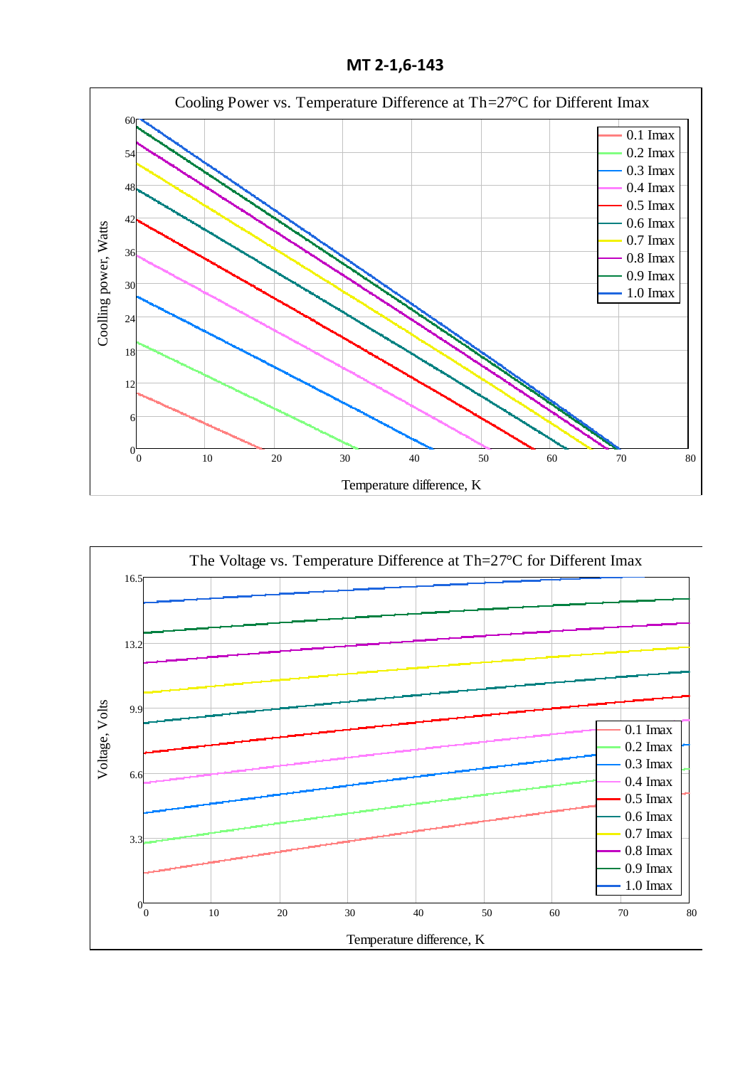**МТ 2-1,6-143**